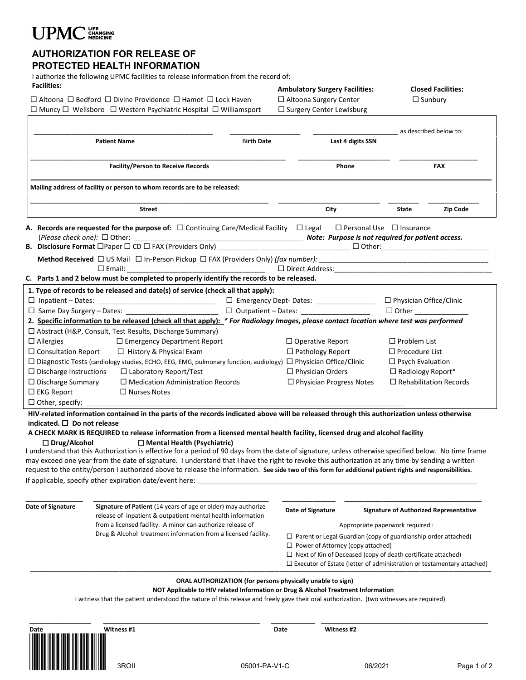# UPMC CHANGING

### **AUTHORIZATION FOR RELEASE OF PROTECTED HEALTH INFORMATION**

I authorize the following UPMC facilities to release information from the record of:

| <b>Facilities:</b>                                                                                                                          |                                                                                                                                                                                                                                                                                                           | <b>Ambulatory Surgery Facilities:</b>      |                                                                                | <b>Closed Facilities:</b>                     |  |
|---------------------------------------------------------------------------------------------------------------------------------------------|-----------------------------------------------------------------------------------------------------------------------------------------------------------------------------------------------------------------------------------------------------------------------------------------------------------|--------------------------------------------|--------------------------------------------------------------------------------|-----------------------------------------------|--|
| $\Box$ Altoona $\Box$ Bedford $\Box$ Divine Providence $\Box$ Hamot $\Box$ Lock Haven                                                       |                                                                                                                                                                                                                                                                                                           | $\Box$ Altoona Surgery Center              |                                                                                | $\Box$ Sunbury                                |  |
| $\Box$ Muncy $\Box$ Wellsboro $\Box$ Western Psychiatric Hospital $\Box$ Williamsport                                                       |                                                                                                                                                                                                                                                                                                           | □ Surgery Center Lewisburg                 |                                                                                |                                               |  |
|                                                                                                                                             |                                                                                                                                                                                                                                                                                                           |                                            |                                                                                |                                               |  |
|                                                                                                                                             |                                                                                                                                                                                                                                                                                                           |                                            |                                                                                | as described below to:                        |  |
| <b>Birth Date</b><br><b>Patient Name</b>                                                                                                    |                                                                                                                                                                                                                                                                                                           |                                            | Last 4 digits SSN                                                              |                                               |  |
|                                                                                                                                             |                                                                                                                                                                                                                                                                                                           |                                            |                                                                                |                                               |  |
| <b>Facility/Person to Receive Records</b>                                                                                                   |                                                                                                                                                                                                                                                                                                           |                                            | Phone                                                                          | <b>FAX</b>                                    |  |
|                                                                                                                                             | Mailing address of facility or person to whom records are to be released:                                                                                                                                                                                                                                 |                                            |                                                                                |                                               |  |
| <b>Street</b>                                                                                                                               |                                                                                                                                                                                                                                                                                                           | City                                       | Zip Code<br>State                                                              |                                               |  |
|                                                                                                                                             |                                                                                                                                                                                                                                                                                                           |                                            |                                                                                |                                               |  |
|                                                                                                                                             | A. Records are requested for the purpose of: $\Box$ Continuing Care/Medical Facility $\Box$ Legal $\Box$ Personal Use $\Box$ Insurance                                                                                                                                                                    |                                            |                                                                                |                                               |  |
|                                                                                                                                             |                                                                                                                                                                                                                                                                                                           |                                            |                                                                                |                                               |  |
|                                                                                                                                             |                                                                                                                                                                                                                                                                                                           |                                            |                                                                                |                                               |  |
|                                                                                                                                             |                                                                                                                                                                                                                                                                                                           |                                            |                                                                                |                                               |  |
|                                                                                                                                             | C. Parts 1 and 2 below must be completed to properly identify the records to be released.                                                                                                                                                                                                                 |                                            |                                                                                |                                               |  |
|                                                                                                                                             |                                                                                                                                                                                                                                                                                                           |                                            |                                                                                |                                               |  |
|                                                                                                                                             | 1. Type of records to be released and date(s) of service (check all that apply):                                                                                                                                                                                                                          |                                            |                                                                                |                                               |  |
|                                                                                                                                             | □ Same Day Surgery - Dates: ________________________                                                                                                                                                                                                                                                      | □ Outpatient - Dates: ____________________ | $\Box$ Emergency Dept- Dates: _________________ $\Box$ Physician Office/Clinic |                                               |  |
|                                                                                                                                             | 2. Specific information to be released (check all that apply): * For Radiology Images, please contact location where test was performed                                                                                                                                                                   |                                            |                                                                                |                                               |  |
|                                                                                                                                             | □ Abstract (H&P, Consult, Test Results, Discharge Summary)                                                                                                                                                                                                                                                |                                            |                                                                                |                                               |  |
| $\square$ Allergies                                                                                                                         | $\Box$ Emergency Department Report                                                                                                                                                                                                                                                                        |                                            | $\Box$ Problem List<br>$\Box$ Operative Report                                 |                                               |  |
| $\Box$ Consultation Report                                                                                                                  | □ History & Physical Exam                                                                                                                                                                                                                                                                                 |                                            | $\Box$ Pathology Report<br>$\Box$ Procedure List                               |                                               |  |
| □ Diagnostic Tests (cardiology studies, ECHO, EEG, EMG, pulmonary function, audiology) □ Physician Office/Clinic<br>$\Box$ Psych Evaluation |                                                                                                                                                                                                                                                                                                           |                                            |                                                                                |                                               |  |
| $\Box$ Discharge Instructions<br>$\Box$ Laboratory Report/Test                                                                              |                                                                                                                                                                                                                                                                                                           |                                            | $\Box$ Physician Orders<br>□ Radiology Report*                                 |                                               |  |
| $\Box$ Discharge Summary                                                                                                                    | $\Box$ Medication Administration Records                                                                                                                                                                                                                                                                  |                                            | $\Box$ Rehabilitation Records<br>$\Box$ Physician Progress Notes               |                                               |  |
| $\Box$ EKG Report                                                                                                                           | $\Box$ Nurses Notes                                                                                                                                                                                                                                                                                       |                                            |                                                                                |                                               |  |
| $\Box$ Other, specify: $\Box$                                                                                                               |                                                                                                                                                                                                                                                                                                           |                                            |                                                                                |                                               |  |
|                                                                                                                                             | HIV-related information contained in the parts of the records indicated above will be released through this authorization unless otherwise                                                                                                                                                                |                                            |                                                                                |                                               |  |
| indicated. $\square$ Do not release                                                                                                         |                                                                                                                                                                                                                                                                                                           |                                            |                                                                                |                                               |  |
|                                                                                                                                             | A CHECK MARK IS REQUIRED to release information from a licensed mental health facility, licensed drug and alcohol facility                                                                                                                                                                                |                                            |                                                                                |                                               |  |
| $\Box$ Drug/Alcohol                                                                                                                         | $\Box$ Mental Health (Psychiatric)                                                                                                                                                                                                                                                                        |                                            |                                                                                |                                               |  |
|                                                                                                                                             | I understand that this Authorization is effective for a period of 90 days from the date of signature, unless otherwise specified below. No time frame<br>may exceed one year from the date of signature. I understand that I have the right to revoke this authorization at any time by sending a written |                                            |                                                                                |                                               |  |
|                                                                                                                                             | request to the entity/person I authorized above to release the information. See side two of this form for additional patient rights and responsibilities.                                                                                                                                                 |                                            |                                                                                |                                               |  |
|                                                                                                                                             | If applicable, specify other expiration date/event here:                                                                                                                                                                                                                                                  |                                            |                                                                                |                                               |  |
|                                                                                                                                             |                                                                                                                                                                                                                                                                                                           |                                            |                                                                                |                                               |  |
|                                                                                                                                             |                                                                                                                                                                                                                                                                                                           |                                            |                                                                                |                                               |  |
| Date of Signature                                                                                                                           | Signature of Patient (14 years of age or older) may authorize<br>release of inpatient & outpatient mental health information                                                                                                                                                                              | Date of Signature                          |                                                                                | <b>Signature of Authorized Representative</b> |  |
|                                                                                                                                             | from a licensed facility. A minor can authorize release of                                                                                                                                                                                                                                                |                                            | Appropriate paperwork required :                                               |                                               |  |
|                                                                                                                                             | Drug & Alcohol treatment information from a licensed facility.                                                                                                                                                                                                                                            |                                            | $\Box$ Parent or Legal Guardian (copy of guardianship order attached)          |                                               |  |
|                                                                                                                                             |                                                                                                                                                                                                                                                                                                           |                                            | $\Box$ Power of Attorney (copy attached)                                       |                                               |  |
|                                                                                                                                             |                                                                                                                                                                                                                                                                                                           |                                            | $\Box$ Next of Kin of Deceased (copy of death certificate attached)            |                                               |  |
|                                                                                                                                             |                                                                                                                                                                                                                                                                                                           |                                            | $\Box$ Executor of Estate (letter of administration or testamentary attached)  |                                               |  |
|                                                                                                                                             |                                                                                                                                                                                                                                                                                                           |                                            |                                                                                |                                               |  |
|                                                                                                                                             | <b>ORAL AUTHORIZATION (for persons physically unable to sign)</b><br>NOT Applicable to HIV related Information or Drug & Alcohol Treatment Information                                                                                                                                                    |                                            |                                                                                |                                               |  |
|                                                                                                                                             | I witness that the patient understood the nature of this release and freely gave their oral authorization. (two witnesses are required)                                                                                                                                                                   |                                            |                                                                                |                                               |  |
|                                                                                                                                             |                                                                                                                                                                                                                                                                                                           |                                            |                                                                                |                                               |  |
|                                                                                                                                             |                                                                                                                                                                                                                                                                                                           |                                            |                                                                                |                                               |  |
| Date                                                                                                                                        | Witness #1                                                                                                                                                                                                                                                                                                | Date<br>Witness #2                         |                                                                                |                                               |  |